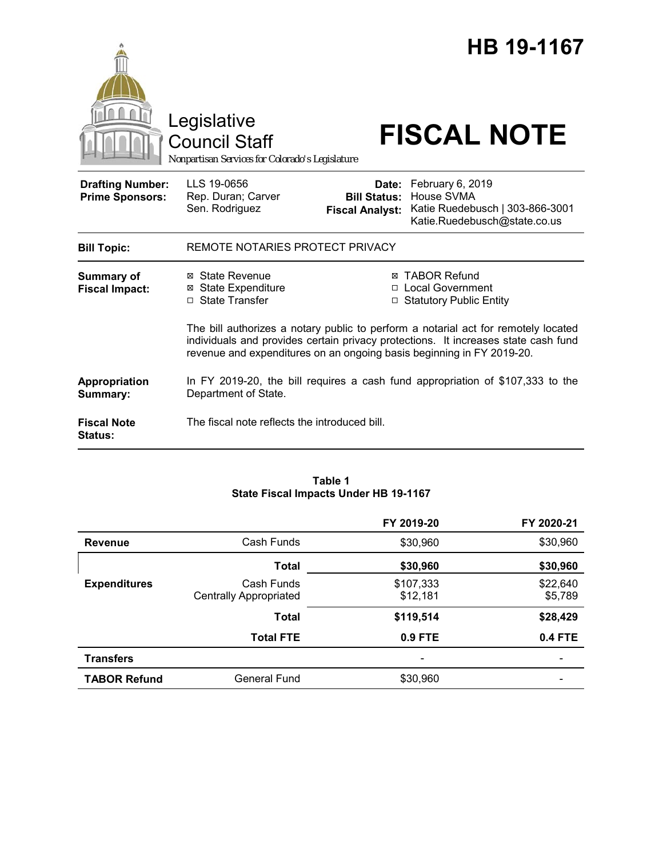|                                                   | Legislative<br><b>Council Staff</b><br>Nonpartisan Services for Colorado's Legislature |                                                        | HB 19-1167<br><b>FISCAL NOTE</b>                                                                                                                                                                                                                     |  |
|---------------------------------------------------|----------------------------------------------------------------------------------------|--------------------------------------------------------|------------------------------------------------------------------------------------------------------------------------------------------------------------------------------------------------------------------------------------------------------|--|
| <b>Drafting Number:</b><br><b>Prime Sponsors:</b> | LLS 19-0656<br>Rep. Duran; Carver<br>Sen. Rodriguez                                    | Date:<br><b>Bill Status:</b><br><b>Fiscal Analyst:</b> | February 6, 2019<br>House SVMA<br>Katie Ruedebusch   303-866-3001<br>Katie.Ruedebusch@state.co.us                                                                                                                                                    |  |
| <b>Bill Topic:</b>                                | REMOTE NOTARIES PROTECT PRIVACY                                                        |                                                        |                                                                                                                                                                                                                                                      |  |
| Summary of<br><b>Fiscal Impact:</b>               | ⊠ State Revenue<br><b>State Expenditure</b><br>⊠<br>□ State Transfer                   |                                                        | <b>⊠ TABOR Refund</b><br>□ Local Government<br>□ Statutory Public Entity<br>The bill authorizes a notary public to perform a notarial act for remotely located<br>individuals and provides certain privacy protections. It increases state cash fund |  |
|                                                   | revenue and expenditures on an ongoing basis beginning in FY 2019-20.                  |                                                        |                                                                                                                                                                                                                                                      |  |
| Appropriation<br>Summary:                         | Department of State.                                                                   |                                                        | In FY 2019-20, the bill requires a cash fund appropriation of \$107,333 to the                                                                                                                                                                       |  |
| <b>Fiscal Note</b><br><b>Status:</b>              | The fiscal note reflects the introduced bill.                                          |                                                        |                                                                                                                                                                                                                                                      |  |

#### **Table 1 State Fiscal Impacts Under HB 19-1167**

|                     |                                             | FY 2019-20            | FY 2020-21          |
|---------------------|---------------------------------------------|-----------------------|---------------------|
| <b>Revenue</b>      | Cash Funds                                  | \$30,960              | \$30,960            |
|                     | Total                                       | \$30,960              | \$30,960            |
| <b>Expenditures</b> | Cash Funds<br><b>Centrally Appropriated</b> | \$107,333<br>\$12,181 | \$22,640<br>\$5,789 |
|                     | <b>Total</b>                                | \$119,514             | \$28,429            |
|                     | <b>Total FTE</b>                            | 0.9 FTE               | <b>0.4 FTE</b>      |
| <b>Transfers</b>    |                                             |                       |                     |
| <b>TABOR Refund</b> | General Fund                                | \$30,960              |                     |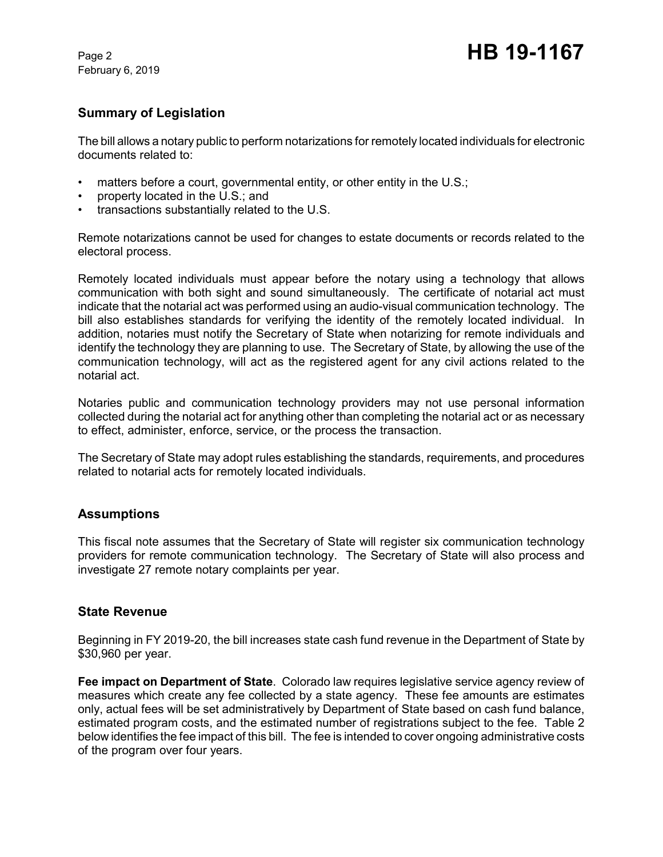February 6, 2019

# **Summary of Legislation**

The bill allows a notary public to perform notarizations for remotely located individuals for electronic documents related to:

- matters before a court, governmental entity, or other entity in the U.S.;
- property located in the U.S.; and
- transactions substantially related to the U.S.

Remote notarizations cannot be used for changes to estate documents or records related to the electoral process.

Remotely located individuals must appear before the notary using a technology that allows communication with both sight and sound simultaneously. The certificate of notarial act must indicate that the notarial act was performed using an audio-visual communication technology. The bill also establishes standards for verifying the identity of the remotely located individual. In addition, notaries must notify the Secretary of State when notarizing for remote individuals and identify the technology they are planning to use. The Secretary of State, by allowing the use of the communication technology, will act as the registered agent for any civil actions related to the notarial act.

Notaries public and communication technology providers may not use personal information collected during the notarial act for anything other than completing the notarial act or as necessary to effect, administer, enforce, service, or the process the transaction.

The Secretary of State may adopt rules establishing the standards, requirements, and procedures related to notarial acts for remotely located individuals.

## **Assumptions**

This fiscal note assumes that the Secretary of State will register six communication technology providers for remote communication technology. The Secretary of State will also process and investigate 27 remote notary complaints per year.

## **State Revenue**

Beginning in FY 2019-20, the bill increases state cash fund revenue in the Department of State by \$30,960 per year.

**Fee impact on Department of State**. Colorado law requires legislative service agency review of measures which create any fee collected by a state agency. These fee amounts are estimates only, actual fees will be set administratively by Department of State based on cash fund balance, estimated program costs, and the estimated number of registrations subject to the fee. Table 2 below identifies the fee impact of this bill. The fee is intended to cover ongoing administrative costs of the program over four years.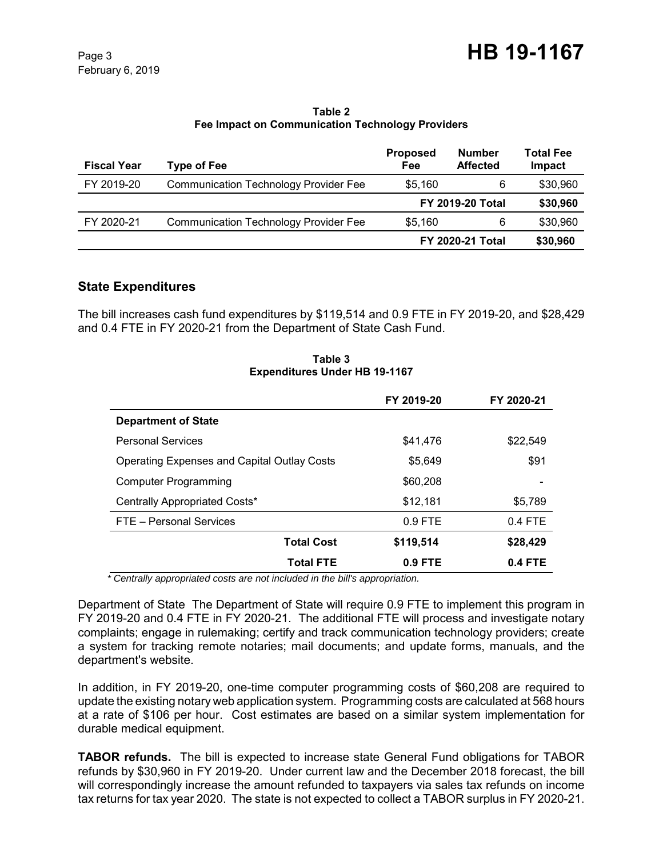**Table 2 Fee Impact on Communication Technology Providers**

| <b>Fiscal Year</b> | <b>Type of Fee</b>                           | <b>Proposed</b><br>Fee  | <b>Number</b><br><b>Affected</b> | <b>Total Fee</b><br>Impact |
|--------------------|----------------------------------------------|-------------------------|----------------------------------|----------------------------|
| FY 2019-20         | <b>Communication Technology Provider Fee</b> | \$5.160                 | 6                                | \$30,960                   |
|                    |                                              | <b>FY 2019-20 Total</b> |                                  | \$30,960                   |
| FY 2020-21         | <b>Communication Technology Provider Fee</b> | \$5.160                 | 6                                | \$30,960                   |
|                    |                                              | <b>FY 2020-21 Total</b> |                                  | \$30,960                   |

#### **State Expenditures**

The bill increases cash fund expenditures by \$119,514 and 0.9 FTE in FY 2019-20, and \$28,429 and 0.4 FTE in FY 2020-21 from the Department of State Cash Fund.

|                                                    | FY 2019-20 | FY 2020-21 |
|----------------------------------------------------|------------|------------|
| <b>Department of State</b>                         |            |            |
| <b>Personal Services</b>                           | \$41,476   | \$22,549   |
| <b>Operating Expenses and Capital Outlay Costs</b> | \$5.649    | \$91       |
| <b>Computer Programming</b>                        | \$60,208   |            |
| Centrally Appropriated Costs*                      | \$12,181   | \$5,789    |
| FTE - Personal Services                            | $0.9$ FTE  | $0.4$ FTE  |
| <b>Total Cost</b>                                  | \$119,514  | \$28,429   |
| <b>Total FTE</b>                                   | 0.9 FTE    | 0.4 FTE    |

**Table 3 Expenditures Under HB 19-1167**

 *\* Centrally appropriated costs are not included in the bill's appropriation.*

Department of State The Department of State will require 0.9 FTE to implement this program in FY 2019-20 and 0.4 FTE in FY 2020-21. The additional FTE will process and investigate notary complaints; engage in rulemaking; certify and track communication technology providers; create a system for tracking remote notaries; mail documents; and update forms, manuals, and the department's website.

In addition, in FY 2019-20, one-time computer programming costs of \$60,208 are required to update the existing notary web application system. Programming costs are calculated at 568 hours at a rate of \$106 per hour. Cost estimates are based on a similar system implementation for durable medical equipment.

**TABOR refunds.** The bill is expected to increase state General Fund obligations for TABOR refunds by \$30,960 in FY 2019-20. Under current law and the December 2018 forecast, the bill will correspondingly increase the amount refunded to taxpayers via sales tax refunds on income tax returns for tax year 2020. The state is not expected to collect a TABOR surplus in FY 2020-21.